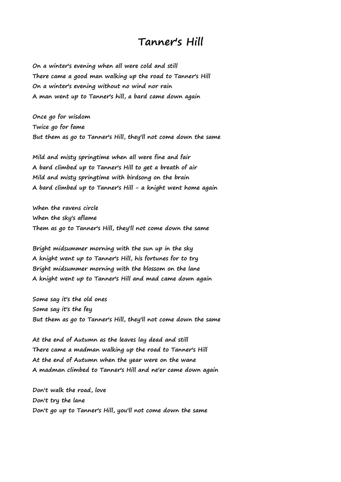## **Tanner's Hill**

**On a winter's evening when all were cold and still There came a good man walking up the road to Tanner's Hill On a winter's evening without no wind nor rain A man went up to Tanner's hill, a bard came down again**

**Once go for wisdom Twice go for fame But them as go to Tanner's Hill, they'll not come down the same**

**Mild and misty springtime when all were fine and fair A bard climbed up to Tanner's Hill to get a breath of air Mild and misty springtime with birdsong on the brain A bard climbed up to Tanner's Hill - a knight went home again**

**When the ravens circle When the sky's aflame Them as go to Tanner's Hill, they'll not come down the same**

**Bright midsummer morning with the sun up in the sky A knight went up to Tanner's Hill, his fortunes for to try Bright midsummer morning with the blossom on the lane A knight went up to Tanner's Hill and mad came down again**

**Some say it's the old ones Some say it's the fey But them as go to Tanner's Hill, they'll not come down the same**

**At the end of Autumn as the leaves lay dead and still There came a madman walking up the road to Tanner's Hill At the end of Autumn when the year were on the wane A madman climbed to Tanner's Hill and ne'er came down again**

**Don't walk the road, love Don't try the lane Don't go up to Tanner's Hill, you'll not come down the same**